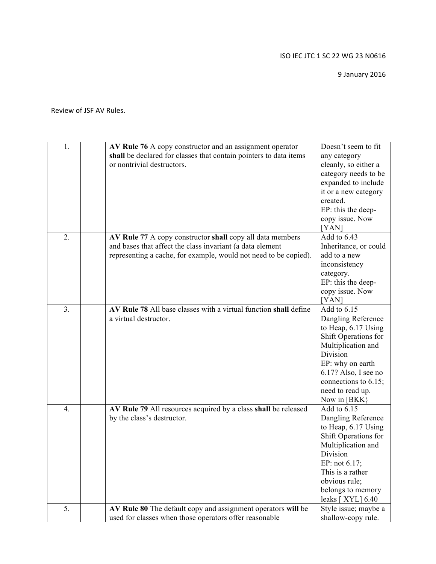9 January 2016

Review of JSF AV Rules.

| 1. | AV Rule 76 A copy constructor and an assignment operator          | Doesn't seem to fit      |
|----|-------------------------------------------------------------------|--------------------------|
|    | shall be declared for classes that contain pointers to data items | any category             |
|    | or nontrivial destructors.                                        | cleanly, so either a     |
|    |                                                                   | category needs to be     |
|    |                                                                   | expanded to include      |
|    |                                                                   | it or a new category     |
|    |                                                                   | created.                 |
|    |                                                                   |                          |
|    |                                                                   | EP: this the deep-       |
|    |                                                                   | copy issue. Now          |
|    |                                                                   | [YAN]                    |
| 2. | AV Rule 77 A copy constructor shall copy all data members         | Add to $6.\overline{43}$ |
|    | and bases that affect the class invariant (a data element         | Inheritance, or could    |
|    | representing a cache, for example, would not need to be copied).  | add to a new             |
|    |                                                                   | inconsistency            |
|    |                                                                   | category.                |
|    |                                                                   | EP: this the deep-       |
|    |                                                                   | copy issue. Now          |
|    |                                                                   | [YAN]                    |
| 3. | AV Rule 78 All base classes with a virtual function shall define  | Add to 6.15              |
|    | a virtual destructor.                                             | Dangling Reference       |
|    |                                                                   | to Heap, 6.17 Using      |
|    |                                                                   | Shift Operations for     |
|    |                                                                   | Multiplication and       |
|    |                                                                   | Division                 |
|    |                                                                   | EP: why on earth         |
|    |                                                                   | 6.17? Also, I see no     |
|    |                                                                   | connections to 6.15;     |
|    |                                                                   | need to read up.         |
|    |                                                                   | Now in [BKK]             |
| 4. | AV Rule 79 All resources acquired by a class shall be released    | Add to 6.15              |
|    | by the class's destructor.                                        | Dangling Reference       |
|    |                                                                   | to Heap, 6.17 Using      |
|    |                                                                   | Shift Operations for     |
|    |                                                                   | Multiplication and       |
|    |                                                                   | Division                 |
|    |                                                                   | EP: not 6.17;            |
|    |                                                                   | This is a rather         |
|    |                                                                   | obvious rule;            |
|    |                                                                   | belongs to memory        |
|    |                                                                   | leaks $[$ XYL $]$ 6.40   |
|    |                                                                   |                          |
| 5. | AV Rule 80 The default copy and assignment operators will be      | Style issue; maybe a     |
|    | used for classes when those operators offer reasonable            | shallow-copy rule.       |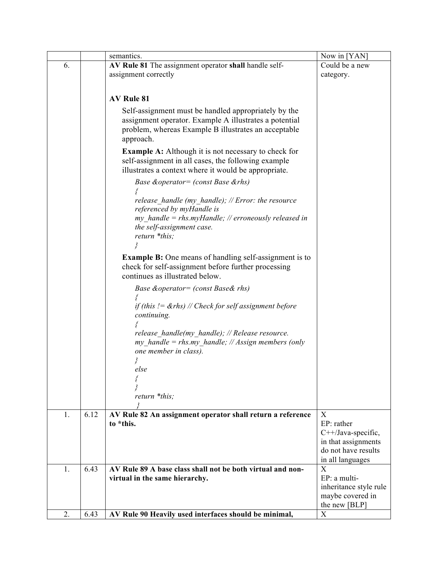|    |      | semantics.                                                    | Now in [YAN]                               |
|----|------|---------------------------------------------------------------|--------------------------------------------|
| 6. |      | AV Rule 81 The assignment operator shall handle self-         | Could be a new                             |
|    |      | assignment correctly                                          | category.                                  |
|    |      |                                                               |                                            |
|    |      | <b>AV Rule 81</b>                                             |                                            |
|    |      |                                                               |                                            |
|    |      | Self-assignment must be handled appropriately by the          |                                            |
|    |      | assignment operator. Example A illustrates a potential        |                                            |
|    |      | problem, whereas Example B illustrates an acceptable          |                                            |
|    |      | approach.                                                     |                                            |
|    |      | <b>Example A:</b> Although it is not necessary to check for   |                                            |
|    |      | self-assignment in all cases, the following example           |                                            |
|    |      | illustrates a context where it would be appropriate.          |                                            |
|    |      | Base & operator = (const Base & rhs)                          |                                            |
|    |      |                                                               |                                            |
|    |      | release handle (my handle); $// Error:$ the resource          |                                            |
|    |      | referenced by myHandle is                                     |                                            |
|    |      | $my$ handle = rhs.myHandle; // erroneously released in        |                                            |
|    |      | the self-assignment case.                                     |                                            |
|    |      | return *this;                                                 |                                            |
|    |      |                                                               |                                            |
|    |      | <b>Example B:</b> One means of handling self-assignment is to |                                            |
|    |      | check for self-assignment before further processing           |                                            |
|    |      | continues as illustrated below.                               |                                            |
|    |      | Base & operator = (const Base& rhs)                           |                                            |
|    |      |                                                               |                                            |
|    |      | if (this $!= \&$ rhs) // Check for self assignment before     |                                            |
|    |      | continuing.                                                   |                                            |
|    |      |                                                               |                                            |
|    |      | release handle(my handle); // Release resource.               |                                            |
|    |      | my handle = rhs.my handle; // Assign members (only            |                                            |
|    |      | one member in class).                                         |                                            |
|    |      |                                                               |                                            |
|    |      | else                                                          |                                            |
|    |      |                                                               |                                            |
|    |      | return *this;                                                 |                                            |
|    |      |                                                               |                                            |
| 1. | 6.12 | AV Rule 82 An assignment operator shall return a reference    | X                                          |
|    |      | to *this.                                                     | EP: rather                                 |
|    |      |                                                               | C++/Java-specific,                         |
|    |      |                                                               | in that assignments                        |
|    |      |                                                               | do not have results                        |
|    |      |                                                               | in all languages                           |
| 1. | 6.43 | AV Rule 89 A base class shall not be both virtual and non-    | X                                          |
|    |      | virtual in the same hierarchy.                                | EP: a multi-                               |
|    |      |                                                               | inheritance style rule<br>maybe covered in |
|    |      |                                                               | the new [BLP]                              |
| 2. | 6.43 | AV Rule 90 Heavily used interfaces should be minimal,         | X                                          |
|    |      |                                                               |                                            |